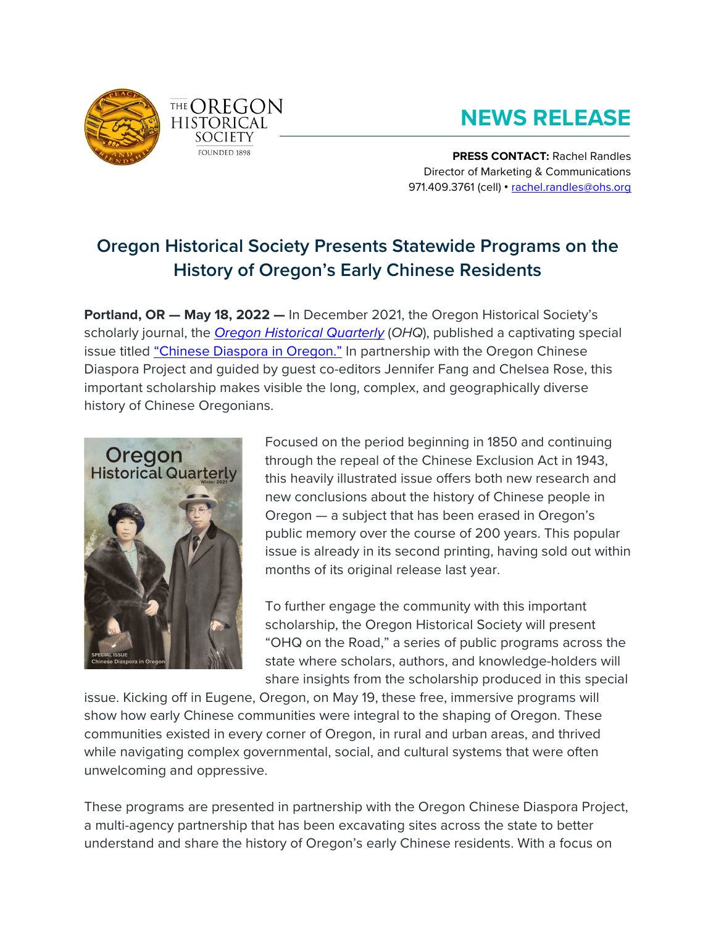



# **NEWS RELEASE**

**PRESS CONTACT:** Rachel Randles Director of Marketing & Communications 971.409.3761 (cell) • [rachel.randles@ohs.org](mailto:rachel.randles@ohs.org)

# **Oregon Historical Society Presents Statewide Programs on the History of Oregon's Early Chinese Residents**

**Portland, OR — May 18, 2022 —** In December 2021, the Oregon Historical Society's scholarly journal, the *[Oregon Historical Quarterly](https://ohs.org/research-and-library/oregon-historical-quarterly/index.cfm)* (*OHQ*), published a captivating special issue titled ["Chinese Diaspora in Oregon."](https://www.ohs.org/research-and-library/oregon-historical-quarterly/current-issue.cfm) In partnership with the Oregon Chinese Diaspora Project and guided by guest co-editors Jennifer Fang and Chelsea Rose, this important scholarship makes visible the long, complex, and geographically diverse history of Chinese Oregonians.



Focused on the period beginning in 1850 and continuing through the repeal of the Chinese Exclusion Act in 1943, this heavily illustrated issue offers both new research and new conclusions about the history of Chinese people in Oregon — a subject that has been erased in Oregon's public memory over the course of 200 years. This popular issue is already in its second printing, having sold out within months of its original release last year.

To further engage the community with this important scholarship, the Oregon Historical Society will present "OHQ on the Road," a series of public programs across the state where scholars, authors, and knowledge-holders will share insights from the scholarship produced in this special

issue. Kicking off in Eugene, Oregon, on May 19, these free, immersive programs will show how early Chinese communities were integral to the shaping of Oregon. These communities existed in every corner of Oregon, in rural and urban areas, and thrived while navigating complex governmental, social, and cultural systems that were often unwelcoming and oppressive.

These programs are presented in partnership with the Oregon Chinese Diaspora Project, a multi-agency partnership that has been excavating sites across the state to better understand and share the history of Oregon's early Chinese residents. With a focus on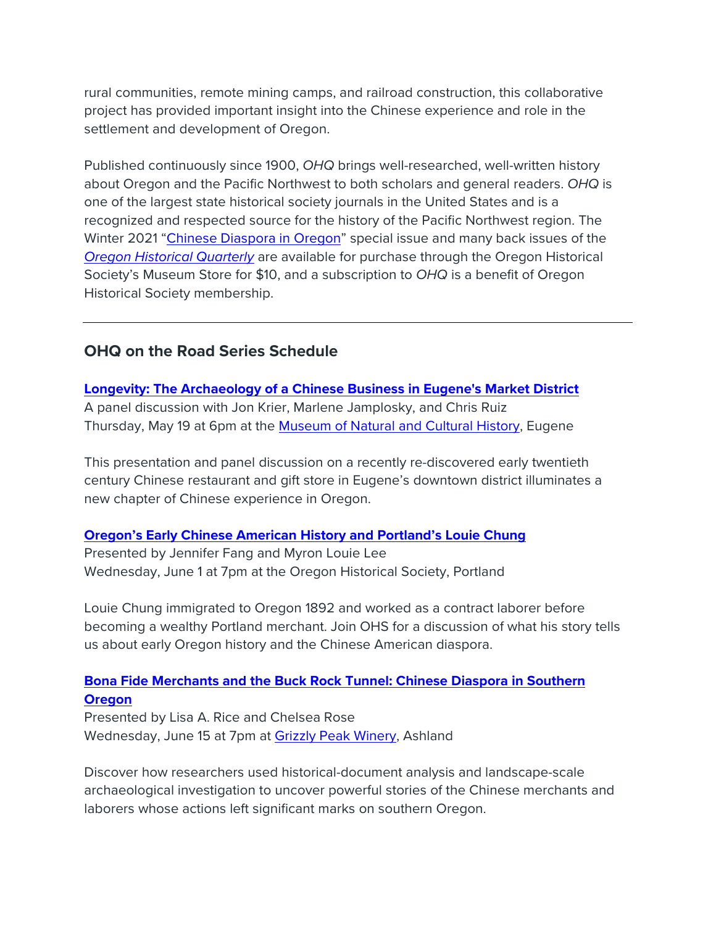rural communities, remote mining camps, and railroad construction, this collaborative project has provided important insight into the Chinese experience and role in the settlement and development of Oregon.

Published continuously since 1900, *OHQ* brings well-researched, well-written history about Oregon and the Pacific Northwest to both scholars and general readers. *OHQ* is one of the largest state historical society journals in the United States and is a recognized and respected source for the history of the Pacific Northwest region. The Winter 2021 ["Chinese Diaspora in Oregon"](https://www.ohs.org/research-and-library/oregon-historical-quarterly/current-issue.cfm) special issue and many back issues of the *[Oregon Historical Quarterly](http://ohs.org/research-and-library/oregon-historical-quarterly/index.cfm)* are available for purchase through the Oregon Historical Society's Museum Store for \$10, and a subscription to *OHQ* is a benefit of Oregon Historical Society membership.

# **OHQ on the Road Series Schedule**

## **[Longevity: The Archaeology of a Chinese Business in Eugene's Market District](https://www.ohs.org/events/archaeology-of-a-chinese-business.cfm)**

A panel discussion with Jon Krier, Marlene Jamplosky, and Chris Ruiz Thursday, May 19 at 6pm at the [Museum of Natural and Cultural History,](https://mnch.uoregon.edu/) Eugene

This presentation and panel discussion on a recently re-discovered early twentieth century Chinese restaurant and gift store in Eugene's downtown district illuminates a new chapter of Chinese experience in Oregon.

## **[Oregon's Early Chinese American History and Portland's Louie Chung](https://www.ohs.org/events/oregons-early-chinese-american-history.cfm)**

Presented by Jennifer Fang and Myron Louie Lee Wednesday, June 1 at 7pm at the Oregon Historical Society, Portland

Louie Chung immigrated to Oregon 1892 and worked as a contract laborer before becoming a wealthy Portland merchant. Join OHS for a discussion of what his story tells us about early Oregon history and the Chinese American diaspora.

# **[Bona Fide Merchants and the Buck Rock Tunnel: Chinese Diaspora in Southern](https://www.ohs.org/events/chinese-diaspora-in-southern-oregon.cfm)  [Oregon](https://www.ohs.org/events/chinese-diaspora-in-southern-oregon.cfm)**

Presented by Lisa A. Rice and Chelsea Rose Wednesday, June 15 at 7pm at [Grizzly Peak Winery,](https://grizzlypeakwinery.com/) Ashland

Discover how researchers used historical-document analysis and landscape-scale archaeological investigation to uncover powerful stories of the Chinese merchants and laborers whose actions left significant marks on southern Oregon.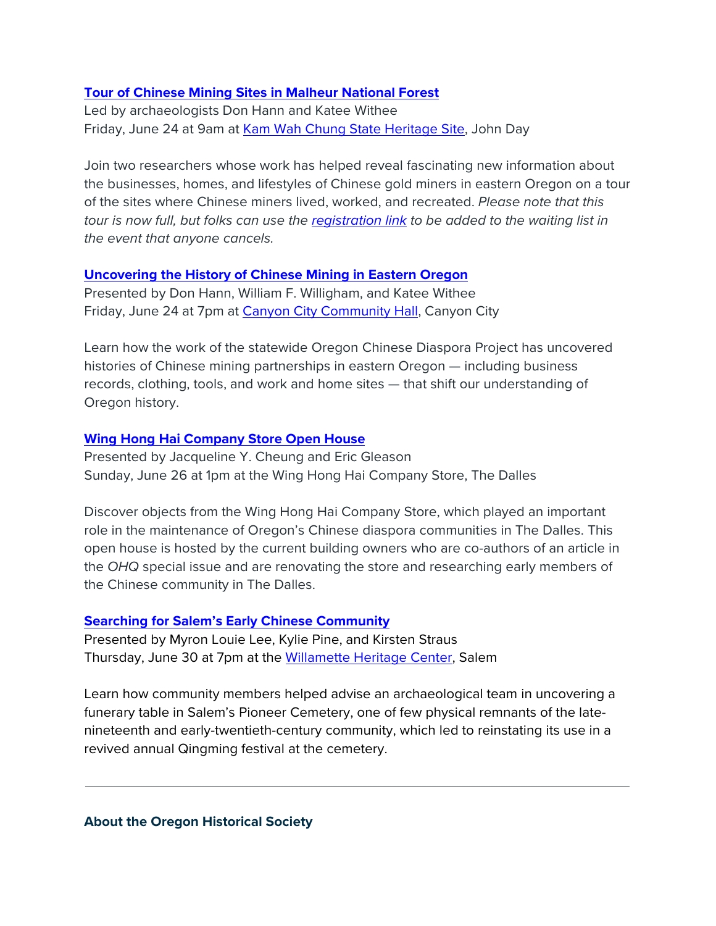#### **[Tour of Chinese Mining Sites in Malheur National Forest](https://www.ohs.org/events/tour-of-chinese-mining-sites.cfm)**

Led by archaeologists Don Hann and Katee Withee Friday, June 24 at 9am at [Kam Wah Chung State Heritage Site,](https://stateparks.oregon.gov/index.cfm?do=park.profile&parkId=5) John Day

Join two researchers whose work has helped reveal fascinating new information about the businesses, homes, and lifestyles of Chinese gold miners in eastern Oregon on a tour of the sites where Chinese miners lived, worked, and recreated. *Please note that this tour is now full, but folks can use the [registration link](https://docs.google.com/forms/d/e/1FAIpQLScQLHQxM8VGHvYe-YitvJotlyhQS8YSoTLj0lt2sZRRdcl_dQ/viewform?usp=sf_link) to be added to the waiting list in the event that anyone cancels.*

#### **[Uncovering the History of Chinese Mining in Eastern Oregon](https://www.ohs.org/events/uncovering-the-history-of-chinese-mining.cfm)**

Presented by Don Hann, William F. Willigham, and Katee Withee Friday, June 24 at 7pm at [Canyon City Community Hall,](https://www.canyoncityoregon.com/) Canyon City

Learn how the work of the statewide Oregon Chinese Diaspora Project has uncovered histories of Chinese mining partnerships in eastern Oregon — including business records, clothing, tools, and work and home sites — that shift our understanding of Oregon history.

#### **[Wing Hong Hai Company Store Open House](https://www.ohs.org/events/wing-hong-hai-company-store.cfm)**

Presented by Jacqueline Y. Cheung and Eric Gleason Sunday, June 26 at 1pm at the Wing Hong Hai Company Store, The Dalles

Discover objects from the Wing Hong Hai Company Store, which played an important role in the maintenance of Oregon's Chinese diaspora communities in The Dalles. This open house is hosted by the current building owners who are co-authors of an article in the *OHQ* special issue and are renovating the store and researching early members of the Chinese community in The Dalles.

#### **[Searching for Salem's Early Chinese Community](https://www.ohs.org/events/searching-for-salems-early-chinese-community.cfm)**

Presented by Myron Louie Lee, Kylie Pine, and Kirsten Straus Thursday, June 30 at 7pm at the [Willamette Heritage Center,](https://www.willametteheritage.org/) Salem

Learn how community members helped advise an archaeological team in uncovering a funerary table in Salem's Pioneer Cemetery, one of few physical remnants of the latenineteenth and early-twentieth-century community, which led to reinstating its use in a revived annual Qingming festival at the cemetery.